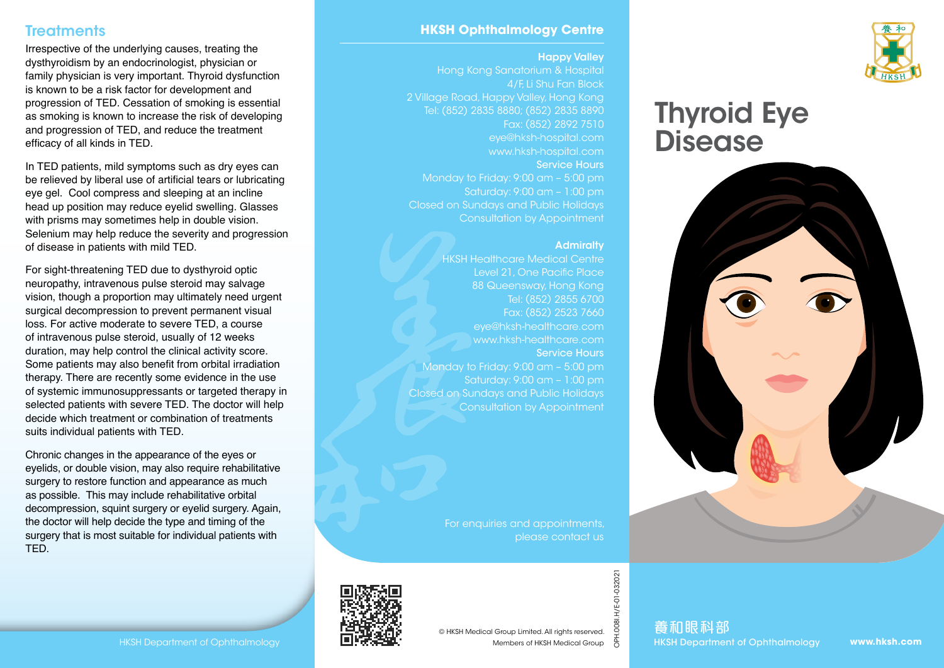# **Treatments**

Irrespective of the underlying causes, treating the dysthyroidism by an endocrinologist, physician or family physician is very important. Thyroid dysfunction is known to be a risk factor for development and progression of TED. Cessation of smoking is essential as smoking is known to increase the risk of developing and progression of TED, and reduce the treatment efficacy of all kinds in TED.

In TED patients, mild symptoms such as dry eyes can be relieved by liberal use of artificial tears or lubricating eye gel. Cool compress and sleeping at an incline head up position may reduce eyelid swelling. Glasses with prisms may sometimes help in double vision. Selenium may help reduce the severity and progression of disease in patients with mild TED.

For sight-threatening TED due to dysthyroid optic neuropathy, intravenous pulse steroid may salvage vision, though a proportion may ultimately need urgent surgical decompression to prevent permanent visual loss. For active moderate to severe TED, a course of intravenous pulse steroid, usually of 12 weeks duration, may help control the clinical activity score. Some patients may also benefit from orbital irradiation therapy. There are recently some evidence in the use of systemic immunosuppressants or targeted therapy in selected patients with severe TED. The doctor will help decide which treatment or combination of treatments suits individual patients with TED.

Chronic changes in the appearance of the eyes or eyelids, or double vision, may also require rehabilitative surgery to restore function and appearance as much as possible. This may include rehabilitative orbital decompression, squint surgery or eyelid surgery. Again, the doctor will help decide the type and timing of the surgery that is most suitable for individual patients with TED.

### **HKSH Ophthalmology Centre**

#### Happy Valley

Hong Kong Sanatorium & Hospital 4/F, Li Shu Fan Block 2 Village Road, Happy Valley, Hong Kong Tel: (852) 2835 8880; (852) 2835 8890 Fax: (852) 2892 7510 eye@hksh-hospital.com www.hksh-hospital.com Service Hours Monday to Friday: 9:00 am – 5:00 pm Closed on Sundays and Public Holidays

#### **Admiralty**

HKSH Healthcare Medical Centre Level 21, One Pacific Place 88 Queensway, Hong Kong Tel: (852) 2855 6700 Fax: (852) 2523 7660 eye@hksh-healthcare.com www.hksh-healthcare.com Service Hours Monday to Friday: 9:00 am – 5:00 pm Saturday: 9:00 am – 1:00 pm Closed on Sundays and Public Holidays Consultation by Appointment

Consultation by Appointment

For enquiries and appointments, please contact us



OPH.008I.H/E-01-032021

.0081.

H/E-01-032021







Thyroid Eye

**Disease**